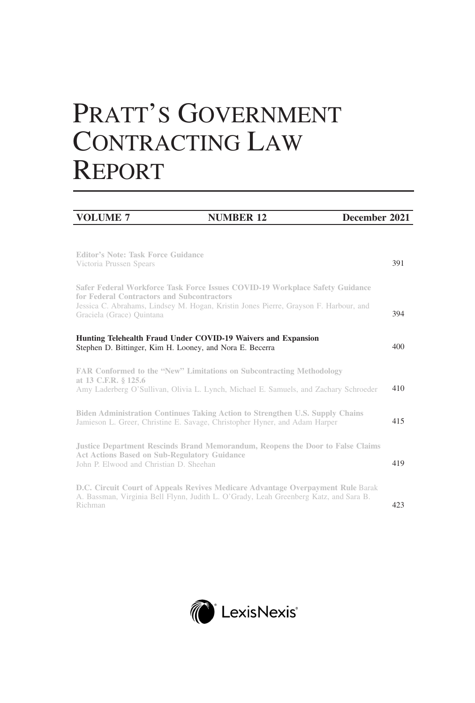# PRATT'S GOVERNMENT CONTRACTING LAW REPORT

| <b>VOLUME 7</b>                                                                                                                                                                                                                                 | <b>NUMBER 12</b> | December 2021 |  |
|-------------------------------------------------------------------------------------------------------------------------------------------------------------------------------------------------------------------------------------------------|------------------|---------------|--|
| <b>Editor's Note: Task Force Guidance</b><br>Victoria Prussen Spears                                                                                                                                                                            |                  | 391           |  |
| Safer Federal Workforce Task Force Issues COVID-19 Workplace Safety Guidance<br>for Federal Contractors and Subcontractors<br>Jessica C. Abrahams, Lindsey M. Hogan, Kristin Jones Pierre, Grayson F. Harbour, and<br>Graciela (Grace) Quintana |                  | 394           |  |
| Hunting Telehealth Fraud Under COVID-19 Waivers and Expansion<br>Stephen D. Bittinger, Kim H. Looney, and Nora E. Becerra                                                                                                                       |                  | 400           |  |
| <b>FAR Conformed to the "New" Limitations on Subcontracting Methodology</b><br>at 13 C.F.R. § 125.6<br>Amy Laderberg O'Sullivan, Olivia L. Lynch, Michael E. Samuels, and Zachary Schroeder                                                     |                  | 410           |  |
| Biden Administration Continues Taking Action to Strengthen U.S. Supply Chains<br>Jamieson L. Greer, Christine E. Savage, Christopher Hyner, and Adam Harper                                                                                     |                  | 415           |  |
| <b>Justice Department Rescinds Brand Memorandum, Reopens the Door to False Claims</b><br><b>Act Actions Based on Sub-Regulatory Guidance</b><br>John P. Elwood and Christian D. Sheehan                                                         |                  | 419           |  |
| <b>D.C. Circuit Court of Appeals Revives Medicare Advantage Overpayment Rule Barak</b><br>A. Bassman, Virginia Bell Flynn, Judith L. O'Grady, Leah Greenberg Katz, and Sara B.<br>Richman                                                       |                  | 423           |  |

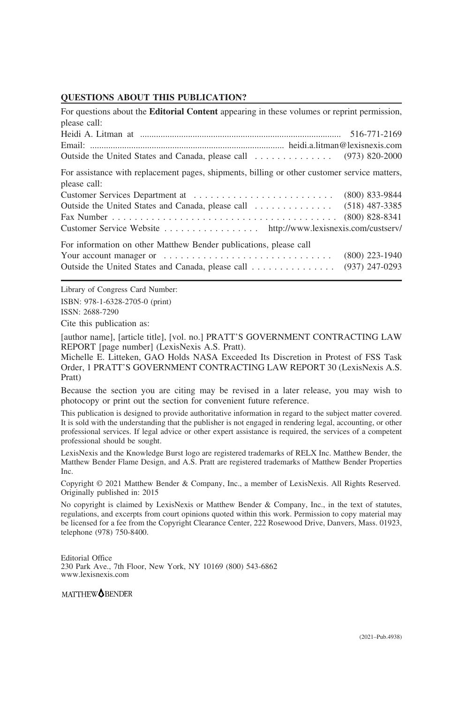#### **QUESTIONS ABOUT THIS PUBLICATION?**

| For questions about the <b>Editorial Content</b> appearing in these volumes or reprint permission,           |                  |  |
|--------------------------------------------------------------------------------------------------------------|------------------|--|
| please call:                                                                                                 |                  |  |
|                                                                                                              |                  |  |
|                                                                                                              |                  |  |
|                                                                                                              |                  |  |
| For assistance with replacement pages, shipments, billing or other customer service matters,<br>please call: |                  |  |
|                                                                                                              |                  |  |
|                                                                                                              |                  |  |
|                                                                                                              | $(800)$ 828-8341 |  |
| Customer Service Website http://www.lexisnexis.com/custserv/                                                 |                  |  |
| For information on other Matthew Bender publications, please call                                            |                  |  |
|                                                                                                              | $(800)$ 223-1940 |  |
| Outside the United States and Canada, please call                                                            | $(937)$ 247-0293 |  |

Library of Congress Card Number: ISBN: 978-1-6328-2705-0 (print) ISSN: 2688-7290

Cite this publication as:

[author name], [article title], [vol. no.] PRATT'S GOVERNMENT CONTRACTING LAW REPORT [page number] (LexisNexis A.S. Pratt).

Michelle E. Litteken, GAO Holds NASA Exceeded Its Discretion in Protest of FSS Task Order, 1 PRATT'S GOVERNMENT CONTRACTING LAW REPORT 30 (LexisNexis A.S. Pratt)

Because the section you are citing may be revised in a later release, you may wish to photocopy or print out the section for convenient future reference.

This publication is designed to provide authoritative information in regard to the subject matter covered. It is sold with the understanding that the publisher is not engaged in rendering legal, accounting, or other professional services. If legal advice or other expert assistance is required, the services of a competent professional should be sought.

LexisNexis and the Knowledge Burst logo are registered trademarks of RELX Inc. Matthew Bender, the Matthew Bender Flame Design, and A.S. Pratt are registered trademarks of Matthew Bender Properties Inc.

Copyright © 2021 Matthew Bender & Company, Inc., a member of LexisNexis. All Rights Reserved. Originally published in: 2015

No copyright is claimed by LexisNexis or Matthew Bender & Company, Inc., in the text of statutes, regulations, and excerpts from court opinions quoted within this work. Permission to copy material may be licensed for a fee from the Copyright Clearance Center, 222 Rosewood Drive, Danvers, Mass. 01923, telephone (978) 750-8400.

Editorial Office 230 Park Ave., 7th Floor, New York, NY 10169 (800) 543-6862 www.lexisnexis.com

MATTHEW**OBENDER**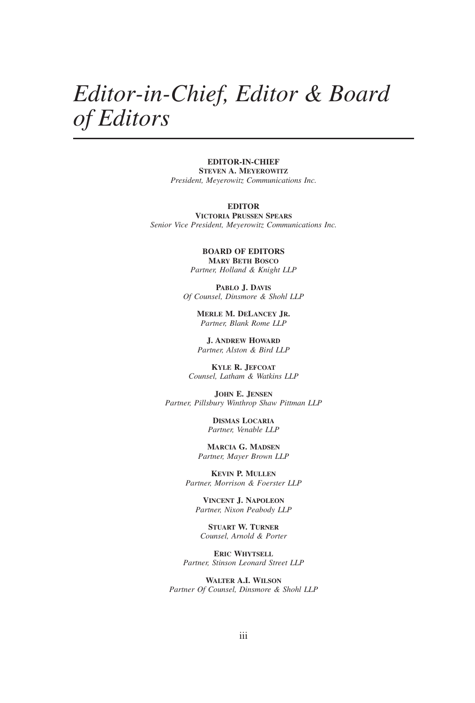## *Editor-in-Chief, Editor & Board of Editors*

**EDITOR-IN-CHIEF STEVEN A. MEYEROWITZ** *President, Meyerowitz Communications Inc.*

#### **EDITOR**

**VICTORIA PRUSSEN SPEARS** *Senior Vice President, Meyerowitz Communications Inc.*

> **BOARD OF EDITORS MARY BETH BOSCO** *Partner, Holland & Knight LLP*

**PABLO J. DAVIS** *Of Counsel, Dinsmore & Shohl LLP*

> **MERLE M. DELANCEY JR.** *Partner, Blank Rome LLP*

**J. ANDREW HOWARD** *Partner, Alston & Bird LLP*

**KYLE R. JEFCOAT** *Counsel, Latham & Watkins LLP*

**JOHN E. JENSEN** *Partner, Pillsbury Winthrop Shaw Pittman LLP*

> **DISMAS LOCARIA** *Partner, Venable LLP*

**MARCIA G. MADSEN** *Partner, Mayer Brown LLP*

**KEVIN P. MULLEN** *Partner, Morrison & Foerster LLP*

**VINCENT J. NAPOLEON** *Partner, Nixon Peabody LLP*

**STUART W. TURNER** *Counsel, Arnold & Porter*

**ERIC WHYTSELL** *Partner, Stinson Leonard Street LLP*

**WALTER A.I. WILSON** *Partner Of Counsel, Dinsmore & Shohl LLP*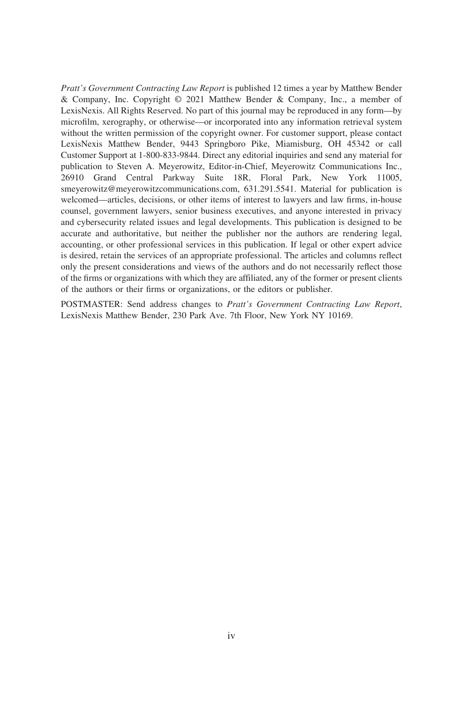*Pratt's Government Contracting Law Report* is published 12 times a year by Matthew Bender & Company, Inc. Copyright © 2021 Matthew Bender & Company, Inc., a member of LexisNexis. All Rights Reserved. No part of this journal may be reproduced in any form—by microfilm, xerography, or otherwise—or incorporated into any information retrieval system without the written permission of the copyright owner. For customer support, please contact LexisNexis Matthew Bender, 9443 Springboro Pike, Miamisburg, OH 45342 or call Customer Support at 1-800-833-9844. Direct any editorial inquiries and send any material for publication to Steven A. Meyerowitz, Editor-in-Chief, Meyerowitz Communications Inc., 26910 Grand Central Parkway Suite 18R, Floral Park, New York 11005, smeyerowitz@meyerowitzcommunications.com, 631.291.5541. Material for publication is welcomed—articles, decisions, or other items of interest to lawyers and law firms, in-house counsel, government lawyers, senior business executives, and anyone interested in privacy and cybersecurity related issues and legal developments. This publication is designed to be accurate and authoritative, but neither the publisher nor the authors are rendering legal, accounting, or other professional services in this publication. If legal or other expert advice is desired, retain the services of an appropriate professional. The articles and columns reflect only the present considerations and views of the authors and do not necessarily reflect those of the firms or organizations with which they are affiliated, any of the former or present clients of the authors or their firms or organizations, or the editors or publisher.

POSTMASTER: Send address changes to *Pratt's Government Contracting Law Report*, LexisNexis Matthew Bender, 230 Park Ave. 7th Floor, New York NY 10169.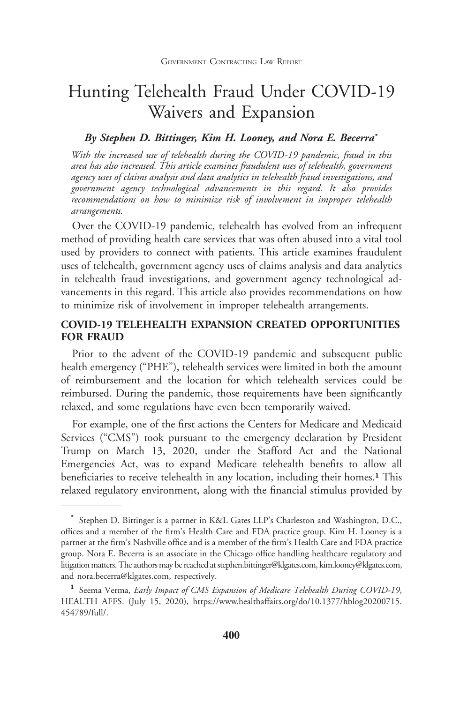### Hunting Telehealth Fraud Under COVID-19 Waivers and Expansion

#### *By Stephen D. Bittinger, Kim H. Looney, and Nora E. Becerra***\***

*With the increased use of telehealth during the COVID-19 pandemic, fraud in this area has also increased. This article examines fraudulent uses of telehealth, government agency uses of claims analysis and data analytics in telehealth fraud investigations, and government agency technological advancements in this regard. It also provides recommendations on how to minimize risk of involvement in improper telehealth arrangements.*

Over the COVID-19 pandemic, telehealth has evolved from an infrequent method of providing health care services that was often abused into a vital tool used by providers to connect with patients. This article examines fraudulent uses of telehealth, government agency uses of claims analysis and data analytics in telehealth fraud investigations, and government agency technological advancements in this regard. This article also provides recommendations on how to minimize risk of involvement in improper telehealth arrangements.

#### **COVID-19 TELEHEALTH EXPANSION CREATED OPPORTUNITIES FOR FRAUD**

Prior to the advent of the COVID-19 pandemic and subsequent public health emergency ("PHE"), telehealth services were limited in both the amount of reimbursement and the location for which telehealth services could be reimbursed. During the pandemic, those requirements have been significantly relaxed, and some regulations have even been temporarily waived.

For example, one of the first actions the Centers for Medicare and Medicaid Services ("CMS") took pursuant to the emergency declaration by President Trump on March 13, 2020, under the Stafford Act and the National Emergencies Act, was to expand Medicare telehealth benefits to allow all beneficiaries to receive telehealth in any location, including their homes.**<sup>1</sup>** This relaxed regulatory environment, along with the financial stimulus provided by

**<sup>\*</sup>** Stephen D. Bittinger is a partner in K&L Gates LLP's Charleston and Washington, D.C., offices and a member of the firm's Health Care and FDA practice group. Kim H. Looney is a partner at the firm's Nashville office and is a member of the firm's Health Care and FDA practice group. Nora E. Becerra is an associate in the Chicago office handling healthcare regulatory and litigation matters. The authors may be reached at stephen.bittinger@klgates.com, kim.looney@klgates.com, and nora.becerra@klgates.com, respectively.

**<sup>1</sup>** Seema Verma, *Early Impact of CMS Expansion of Medicare Telehealth During COVID-19*, HEALTH AFFS. (July 15, 2020), https://www.healthaffairs.org/do/10.1377/hblog20200715. 454789/full/.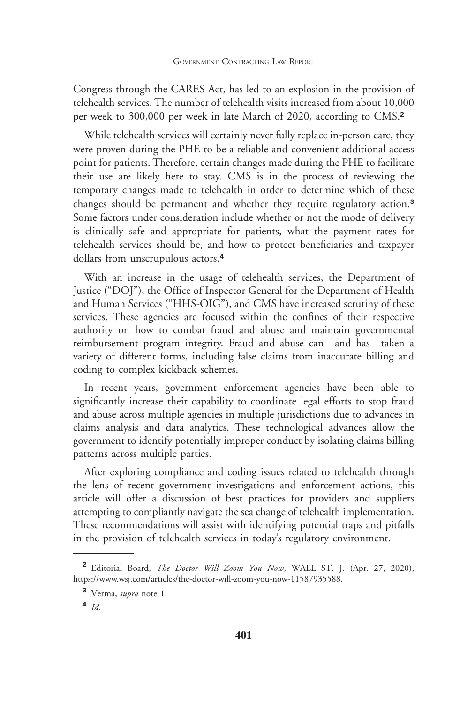Congress through the CARES Act, has led to an explosion in the provision of telehealth services. The number of telehealth visits increased from about 10,000 per week to 300,000 per week in late March of 2020, according to CMS.**<sup>2</sup>**

While telehealth services will certainly never fully replace in-person care, they were proven during the PHE to be a reliable and convenient additional access point for patients. Therefore, certain changes made during the PHE to facilitate their use are likely here to stay. CMS is in the process of reviewing the temporary changes made to telehealth in order to determine which of these changes should be permanent and whether they require regulatory action.**<sup>3</sup>** Some factors under consideration include whether or not the mode of delivery is clinically safe and appropriate for patients, what the payment rates for telehealth services should be, and how to protect beneficiaries and taxpayer dollars from unscrupulous actors.**<sup>4</sup>**

With an increase in the usage of telehealth services, the Department of Justice ("DOJ"), the Office of Inspector General for the Department of Health and Human Services ("HHS-OIG"), and CMS have increased scrutiny of these services. These agencies are focused within the confines of their respective authority on how to combat fraud and abuse and maintain governmental reimbursement program integrity. Fraud and abuse can—and has—taken a variety of different forms, including false claims from inaccurate billing and coding to complex kickback schemes.

In recent years, government enforcement agencies have been able to significantly increase their capability to coordinate legal efforts to stop fraud and abuse across multiple agencies in multiple jurisdictions due to advances in claims analysis and data analytics. These technological advances allow the government to identify potentially improper conduct by isolating claims billing patterns across multiple parties.

After exploring compliance and coding issues related to telehealth through the lens of recent government investigations and enforcement actions, this article will offer a discussion of best practices for providers and suppliers attempting to compliantly navigate the sea change of telehealth implementation. These recommendations will assist with identifying potential traps and pitfalls in the provision of telehealth services in today's regulatory environment.

**<sup>2</sup>** Editorial Board, *The Doctor Will Zoom You Now*, WALL ST. J. (Apr. 27, 2020), https://www.wsj.com/articles/the-doctor-will-zoom-you-now-11587935588.

**<sup>3</sup>** Verma, *supra* note 1.

**<sup>4</sup>** *Id.*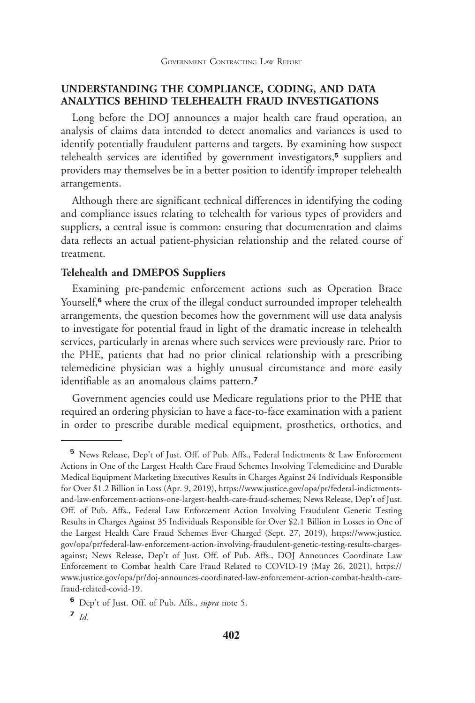#### **UNDERSTANDING THE COMPLIANCE, CODING, AND DATA ANALYTICS BEHIND TELEHEALTH FRAUD INVESTIGATIONS**

Long before the DOJ announces a major health care fraud operation, an analysis of claims data intended to detect anomalies and variances is used to identify potentially fraudulent patterns and targets. By examining how suspect telehealth services are identified by government investigators,**<sup>5</sup>** suppliers and providers may themselves be in a better position to identify improper telehealth arrangements.

Although there are significant technical differences in identifying the coding and compliance issues relating to telehealth for various types of providers and suppliers, a central issue is common: ensuring that documentation and claims data reflects an actual patient-physician relationship and the related course of treatment.

#### **Telehealth and DMEPOS Suppliers**

Examining pre-pandemic enforcement actions such as Operation Brace Yourself,<sup>6</sup> where the crux of the illegal conduct surrounded improper telehealth arrangements, the question becomes how the government will use data analysis to investigate for potential fraud in light of the dramatic increase in telehealth services, particularly in arenas where such services were previously rare. Prior to the PHE, patients that had no prior clinical relationship with a prescribing telemedicine physician was a highly unusual circumstance and more easily identifiable as an anomalous claims pattern.**<sup>7</sup>**

Government agencies could use Medicare regulations prior to the PHE that required an ordering physician to have a face-to-face examination with a patient in order to prescribe durable medical equipment, prosthetics, orthotics, and

**7** *Id.*

**<sup>5</sup>** News Release, Dep't of Just. Off. of Pub. Affs., Federal Indictments & Law Enforcement Actions in One of the Largest Health Care Fraud Schemes Involving Telemedicine and Durable Medical Equipment Marketing Executives Results in Charges Against 24 Individuals Responsible for Over \$1.2 Billion in Loss (Apr. 9, 2019), https://www.justice.gov/opa/pr/federal-indictmentsand-law-enforcement-actions-one-largest-health-care-fraud-schemes; News Release, Dep't of Just. Off. of Pub. Affs., Federal Law Enforcement Action Involving Fraudulent Genetic Testing Results in Charges Against 35 Individuals Responsible for Over \$2.1 Billion in Losses in One of the Largest Health Care Fraud Schemes Ever Charged (Sept. 27, 2019), https://www.justice. gov/opa/pr/federal-law-enforcement-action-involving-fraudulent-genetic-testing-results-chargesagainst; News Release, Dep't of Just. Off. of Pub. Affs., DOJ Announces Coordinate Law Enforcement to Combat health Care Fraud Related to COVID-19 (May 26, 2021), https:// www.justice.gov/opa/pr/doj-announces-coordinated-law-enforcement-action-combat-health-carefraud-related-covid-19.

**<sup>6</sup>** Dep't of Just. Off. of Pub. Affs., *supra* note 5.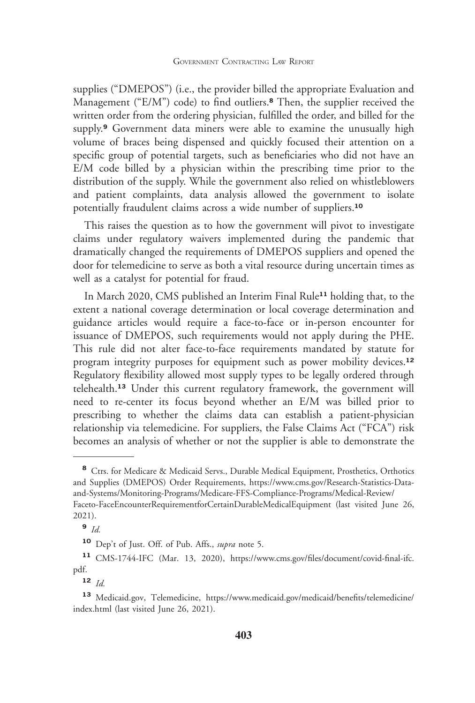supplies ("DMEPOS") (i.e., the provider billed the appropriate Evaluation and Management ("E/M") code) to find outliers.**<sup>8</sup>** Then, the supplier received the written order from the ordering physician, fulfilled the order, and billed for the supply.**<sup>9</sup>** Government data miners were able to examine the unusually high volume of braces being dispensed and quickly focused their attention on a specific group of potential targets, such as beneficiaries who did not have an E/M code billed by a physician within the prescribing time prior to the distribution of the supply. While the government also relied on whistleblowers and patient complaints, data analysis allowed the government to isolate potentially fraudulent claims across a wide number of suppliers.**<sup>10</sup>**

This raises the question as to how the government will pivot to investigate claims under regulatory waivers implemented during the pandemic that dramatically changed the requirements of DMEPOS suppliers and opened the door for telemedicine to serve as both a vital resource during uncertain times as well as a catalyst for potential for fraud.

In March 2020, CMS published an Interim Final Rule**<sup>11</sup>** holding that, to the extent a national coverage determination or local coverage determination and guidance articles would require a face-to-face or in-person encounter for issuance of DMEPOS, such requirements would not apply during the PHE. This rule did not alter face-to-face requirements mandated by statute for program integrity purposes for equipment such as power mobility devices.**<sup>12</sup>** Regulatory flexibility allowed most supply types to be legally ordered through telehealth.**<sup>13</sup>** Under this current regulatory framework, the government will need to re-center its focus beyond whether an E/M was billed prior to prescribing to whether the claims data can establish a patient-physician relationship via telemedicine. For suppliers, the False Claims Act ("FCA") risk becomes an analysis of whether or not the supplier is able to demonstrate the

**<sup>8</sup>** Ctrs. for Medicare & Medicaid Servs., Durable Medical Equipment, Prosthetics, Orthotics and Supplies (DMEPOS) Order Requirements, https://www.cms.gov/Research-Statistics-Dataand-Systems/Monitoring-Programs/Medicare-FFS-Compliance-Programs/Medical-Review/ Faceto-FaceEncounterRequirementforCertainDurableMedicalEquipment (last visited June 26, 2021).

**<sup>9</sup>** *Id.*

**<sup>10</sup>** Dep't of Just. Off. of Pub. Affs., *supra* note 5.

**<sup>11</sup>** CMS-1744-IFC (Mar. 13, 2020), https://www.cms.gov/files/document/covid-final-ifc. pdf.

**<sup>12</sup>** *Id.*

**<sup>13</sup>** Medicaid.gov, Telemedicine, https://www.medicaid.gov/medicaid/benefits/telemedicine/ index.html (last visited June 26, 2021).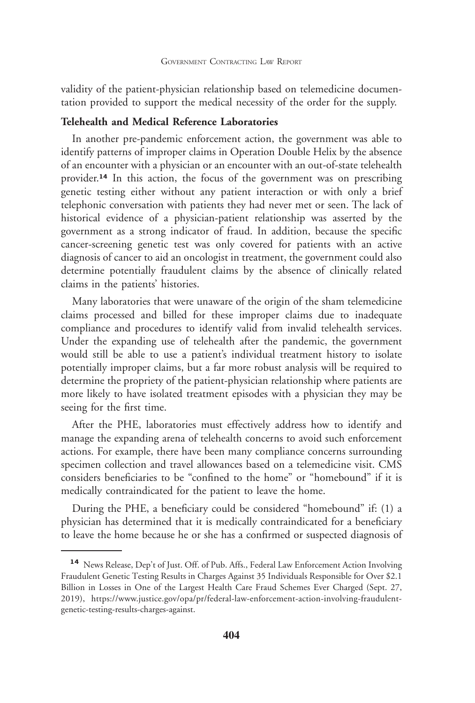validity of the patient-physician relationship based on telemedicine documentation provided to support the medical necessity of the order for the supply.

#### **Telehealth and Medical Reference Laboratories**

In another pre-pandemic enforcement action, the government was able to identify patterns of improper claims in Operation Double Helix by the absence of an encounter with a physician or an encounter with an out-of-state telehealth provider.**<sup>14</sup>** In this action, the focus of the government was on prescribing genetic testing either without any patient interaction or with only a brief telephonic conversation with patients they had never met or seen. The lack of historical evidence of a physician-patient relationship was asserted by the government as a strong indicator of fraud. In addition, because the specific cancer-screening genetic test was only covered for patients with an active diagnosis of cancer to aid an oncologist in treatment, the government could also determine potentially fraudulent claims by the absence of clinically related claims in the patients' histories.

Many laboratories that were unaware of the origin of the sham telemedicine claims processed and billed for these improper claims due to inadequate compliance and procedures to identify valid from invalid telehealth services. Under the expanding use of telehealth after the pandemic, the government would still be able to use a patient's individual treatment history to isolate potentially improper claims, but a far more robust analysis will be required to determine the propriety of the patient-physician relationship where patients are more likely to have isolated treatment episodes with a physician they may be seeing for the first time.

After the PHE, laboratories must effectively address how to identify and manage the expanding arena of telehealth concerns to avoid such enforcement actions. For example, there have been many compliance concerns surrounding specimen collection and travel allowances based on a telemedicine visit. CMS considers beneficiaries to be "confined to the home" or "homebound" if it is medically contraindicated for the patient to leave the home.

During the PHE, a beneficiary could be considered "homebound" if: (1) a physician has determined that it is medically contraindicated for a beneficiary to leave the home because he or she has a confirmed or suspected diagnosis of

**<sup>14</sup>** News Release, Dep't of Just. Off. of Pub. Affs., Federal Law Enforcement Action Involving Fraudulent Genetic Testing Results in Charges Against 35 Individuals Responsible for Over \$2.1 Billion in Losses in One of the Largest Health Care Fraud Schemes Ever Charged (Sept. 27, 2019), https://www.justice.gov/opa/pr/federal-law-enforcement-action-involving-fraudulentgenetic-testing-results-charges-against.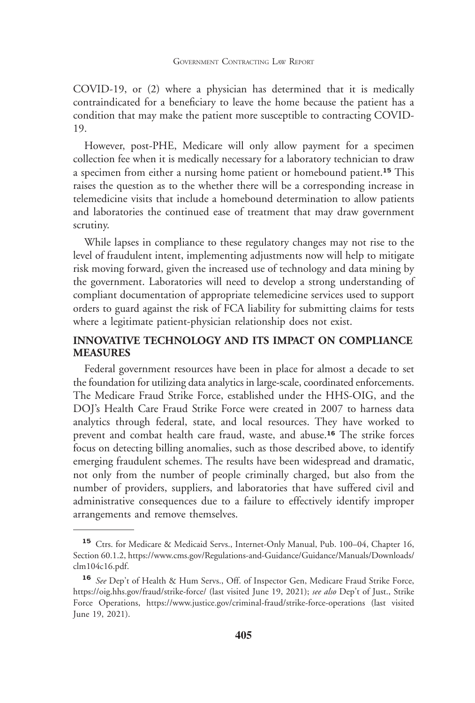COVID-19, or (2) where a physician has determined that it is medically contraindicated for a beneficiary to leave the home because the patient has a condition that may make the patient more susceptible to contracting COVID-19.

However, post-PHE, Medicare will only allow payment for a specimen collection fee when it is medically necessary for a laboratory technician to draw a specimen from either a nursing home patient or homebound patient.**<sup>15</sup>** This raises the question as to the whether there will be a corresponding increase in telemedicine visits that include a homebound determination to allow patients and laboratories the continued ease of treatment that may draw government scrutiny.

While lapses in compliance to these regulatory changes may not rise to the level of fraudulent intent, implementing adjustments now will help to mitigate risk moving forward, given the increased use of technology and data mining by the government. Laboratories will need to develop a strong understanding of compliant documentation of appropriate telemedicine services used to support orders to guard against the risk of FCA liability for submitting claims for tests where a legitimate patient-physician relationship does not exist.

#### **INNOVATIVE TECHNOLOGY AND ITS IMPACT ON COMPLIANCE MEASURES**

Federal government resources have been in place for almost a decade to set the foundation for utilizing data analytics in large-scale, coordinated enforcements. The Medicare Fraud Strike Force, established under the HHS-OIG, and the DOJ's Health Care Fraud Strike Force were created in 2007 to harness data analytics through federal, state, and local resources. They have worked to prevent and combat health care fraud, waste, and abuse.**<sup>16</sup>** The strike forces focus on detecting billing anomalies, such as those described above, to identify emerging fraudulent schemes. The results have been widespread and dramatic, not only from the number of people criminally charged, but also from the number of providers, suppliers, and laboratories that have suffered civil and administrative consequences due to a failure to effectively identify improper arrangements and remove themselves.

<sup>&</sup>lt;sup>15</sup> Ctrs. for Medicare & Medicaid Servs., Internet-Only Manual, Pub. 100-04, Chapter 16, Section 60.1.2, https://www.cms.gov/Regulations-and-Guidance/Guidance/Manuals/Downloads/ clm104c16.pdf.

**<sup>16</sup>** *See* Dep't of Health & Hum Servs., Off. of Inspector Gen, Medicare Fraud Strike Force, https://oig.hhs.gov/fraud/strike-force/ (last visited June 19, 2021); *see also* Dep't of Just., Strike Force Operations, https://www.justice.gov/criminal-fraud/strike-force-operations (last visited June 19, 2021).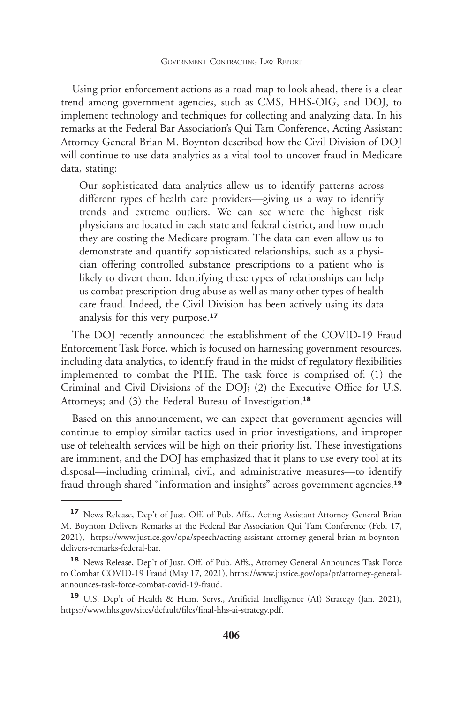Using prior enforcement actions as a road map to look ahead, there is a clear trend among government agencies, such as CMS, HHS-OIG, and DOJ, to implement technology and techniques for collecting and analyzing data. In his remarks at the Federal Bar Association's Qui Tam Conference, Acting Assistant Attorney General Brian M. Boynton described how the Civil Division of DOJ will continue to use data analytics as a vital tool to uncover fraud in Medicare data, stating:

Our sophisticated data analytics allow us to identify patterns across different types of health care providers—giving us a way to identify trends and extreme outliers. We can see where the highest risk physicians are located in each state and federal district, and how much they are costing the Medicare program. The data can even allow us to demonstrate and quantify sophisticated relationships, such as a physician offering controlled substance prescriptions to a patient who is likely to divert them. Identifying these types of relationships can help us combat prescription drug abuse as well as many other types of health care fraud. Indeed, the Civil Division has been actively using its data analysis for this very purpose.**<sup>17</sup>**

The DOJ recently announced the establishment of the COVID-19 Fraud Enforcement Task Force, which is focused on harnessing government resources, including data analytics, to identify fraud in the midst of regulatory flexibilities implemented to combat the PHE. The task force is comprised of: (1) the Criminal and Civil Divisions of the DOJ; (2) the Executive Office for U.S. Attorneys; and (3) the Federal Bureau of Investigation.**<sup>18</sup>**

Based on this announcement, we can expect that government agencies will continue to employ similar tactics used in prior investigations, and improper use of telehealth services will be high on their priority list. These investigations are imminent, and the DOJ has emphasized that it plans to use every tool at its disposal—including criminal, civil, and administrative measures—to identify fraud through shared "information and insights" across government agencies.**<sup>19</sup>**

**<sup>17</sup>** News Release, Dep't of Just. Off. of Pub. Affs., Acting Assistant Attorney General Brian M. Boynton Delivers Remarks at the Federal Bar Association Qui Tam Conference (Feb. 17, 2021), https://www.justice.gov/opa/speech/acting-assistant-attorney-general-brian-m-boyntondelivers-remarks-federal-bar.

**<sup>18</sup>** News Release, Dep't of Just. Off. of Pub. Affs., Attorney General Announces Task Force to Combat COVID-19 Fraud (May 17, 2021), https://www.justice.gov/opa/pr/attorney-generalannounces-task-force-combat-covid-19-fraud.

**<sup>19</sup>** U.S. Dep't of Health & Hum. Servs., Artificial Intelligence (AI) Strategy (Jan. 2021), https://www.hhs.gov/sites/default/files/final-hhs-ai-strategy.pdf.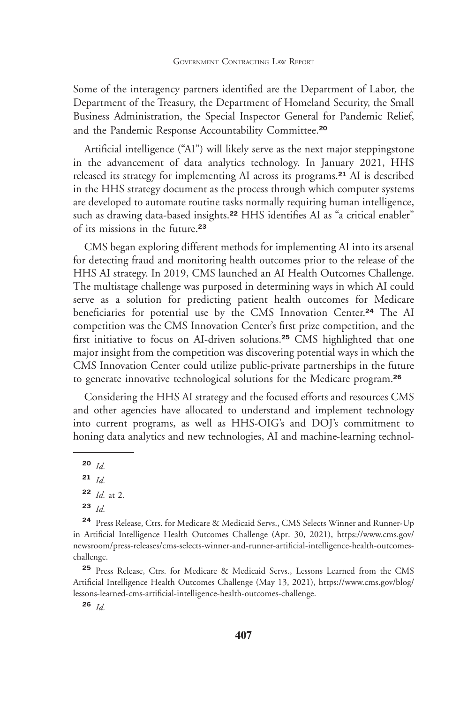Some of the interagency partners identified are the Department of Labor, the Department of the Treasury, the Department of Homeland Security, the Small Business Administration, the Special Inspector General for Pandemic Relief, and the Pandemic Response Accountability Committee.**<sup>20</sup>**

Artificial intelligence ("AI") will likely serve as the next major steppingstone in the advancement of data analytics technology. In January 2021, HHS released its strategy for implementing AI across its programs.**<sup>21</sup>** AI is described in the HHS strategy document as the process through which computer systems are developed to automate routine tasks normally requiring human intelligence, such as drawing data-based insights.**<sup>22</sup>** HHS identifies AI as "a critical enabler" of its missions in the future.**<sup>23</sup>**

CMS began exploring different methods for implementing AI into its arsenal for detecting fraud and monitoring health outcomes prior to the release of the HHS AI strategy. In 2019, CMS launched an AI Health Outcomes Challenge. The multistage challenge was purposed in determining ways in which AI could serve as a solution for predicting patient health outcomes for Medicare beneficiaries for potential use by the CMS Innovation Center.**<sup>24</sup>** The AI competition was the CMS Innovation Center's first prize competition, and the first initiative to focus on AI-driven solutions.**<sup>25</sup>** CMS highlighted that one major insight from the competition was discovering potential ways in which the CMS Innovation Center could utilize public-private partnerships in the future to generate innovative technological solutions for the Medicare program.**<sup>26</sup>**

Considering the HHS AI strategy and the focused efforts and resources CMS and other agencies have allocated to understand and implement technology into current programs, as well as HHS-OIG's and DOJ's commitment to honing data analytics and new technologies, AI and machine-learning technol-

**<sup>20</sup>** *Id.*

**<sup>23</sup>** *Id.*

**<sup>24</sup>** Press Release, Ctrs. for Medicare & Medicaid Servs., CMS Selects Winner and Runner-Up in Artificial Intelligence Health Outcomes Challenge (Apr. 30, 2021), https://www.cms.gov/ newsroom/press-releases/cms-selects-winner-and-runner-artificial-intelligence-health-outcomeschallenge.

**<sup>25</sup>** Press Release, Ctrs. for Medicare & Medicaid Servs., Lessons Learned from the CMS Artificial Intelligence Health Outcomes Challenge (May 13, 2021), https://www.cms.gov/blog/ lessons-learned-cms-artificial-intelligence-health-outcomes-challenge.

**<sup>26</sup>** *Id.*

**<sup>21</sup>** *Id.*

**<sup>22</sup>** *Id.* at 2.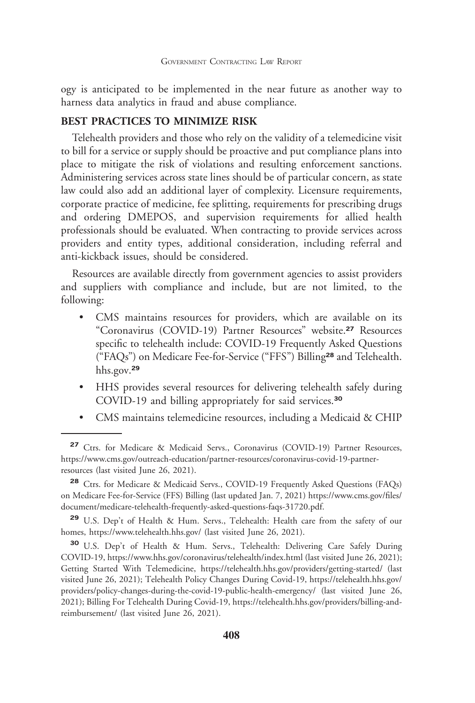ogy is anticipated to be implemented in the near future as another way to harness data analytics in fraud and abuse compliance.

#### **BEST PRACTICES TO MINIMIZE RISK**

Telehealth providers and those who rely on the validity of a telemedicine visit to bill for a service or supply should be proactive and put compliance plans into place to mitigate the risk of violations and resulting enforcement sanctions. Administering services across state lines should be of particular concern, as state law could also add an additional layer of complexity. Licensure requirements, corporate practice of medicine, fee splitting, requirements for prescribing drugs and ordering DMEPOS, and supervision requirements for allied health professionals should be evaluated. When contracting to provide services across providers and entity types, additional consideration, including referral and anti-kickback issues, should be considered.

Resources are available directly from government agencies to assist providers and suppliers with compliance and include, but are not limited, to the following:

- CMS maintains resources for providers, which are available on its "Coronavirus (COVID-19) Partner Resources" website.**<sup>27</sup>** Resources specific to telehealth include: COVID-19 Frequently Asked Questions ("FAQs") on Medicare Fee-for-Service ("FFS") Billing**<sup>28</sup>** and Telehealth. hhs.gov.**<sup>29</sup>**
- HHS provides several resources for delivering telehealth safely during COVID-19 and billing appropriately for said services.**<sup>30</sup>**
- CMS maintains telemedicine resources, including a Medicaid & CHIP

**<sup>27</sup>** Ctrs. for Medicare & Medicaid Servs., Coronavirus (COVID-19) Partner Resources, https://www.cms.gov/outreach-education/partner-resources/coronavirus-covid-19-partnerresources (last visited June 26, 2021).

**<sup>28</sup>** Ctrs. for Medicare & Medicaid Servs., COVID-19 Frequently Asked Questions (FAQs) on Medicare Fee-for-Service (FFS) Billing (last updated Jan. 7, 2021) https://www.cms.gov/files/ document/medicare-telehealth-frequently-asked-questions-faqs-31720.pdf.

**<sup>29</sup>** U.S. Dep't of Health & Hum. Servs., Telehealth: Health care from the safety of our homes, https://www.telehealth.hhs.gov/ (last visited June 26, 2021).

**<sup>30</sup>** U.S. Dep't of Health & Hum. Servs., Telehealth: Delivering Care Safely During COVID-19, https://www.hhs.gov/coronavirus/telehealth/index.html (last visited June 26, 2021); Getting Started With Telemedicine, https://telehealth.hhs.gov/providers/getting-started/ (last visited June 26, 2021); Telehealth Policy Changes During Covid-19, https://telehealth.hhs.gov/ providers/policy-changes-during-the-covid-19-public-health-emergency/ (last visited June 26, 2021); Billing For Telehealth During Covid-19, https://telehealth.hhs.gov/providers/billing-andreimbursement/ (last visited June 26, 2021).